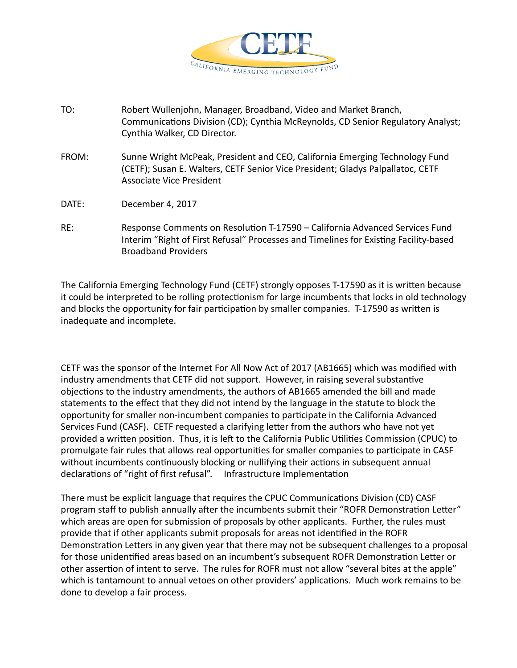

- TO: Robert Wullenjohn, Manager, Broadband, Video and Market Branch, Communications Division (CD); Cynthia McReynolds, CD Senior Regulatory Analyst; Cynthia Walker, CD Director.
- FROM: Sunne Wright McPeak, President and CEO, California Emerging Technology Fund (CETF); Susan E. Walters, CETF Senior Vice President; Gladys Palpallatoc, CETF Associate Vice President
- DATE: December 4, 2017
- RE: Response Comments on Resolution T-17590 California Advanced Services Fund Interim "Right of First Refusal" Processes and Timelines for Existing Facility-based Broadband Providers

The California Emerging Technology Fund (CETF) strongly opposes T-17590 as it is written because it could be interpreted to be rolling protectionism for large incumbents that locks in old technology and blocks the opportunity for fair participation by smaller companies. T-17590 as written is inadequate and incomplete.

CETF was the sponsor of the Internet For All Now Act of 2017 (AB1665) which was modified with industry amendments that CETF did not support. However, in raising several substantive objections to the industry amendments, the authors of AB1665 amended the bill and made statements to the effect that they did not intend by the language in the statute to block the opportunity for smaller non-incumbent companies to participate in the California Advanced Services Fund (CASF). CETF requested a clarifying letter from the authors who have not yet provided a written position. Thus, it is left to the California Public Utilities Commission (CPUC) to promulgate fair rules that allows real opportunities for smaller companies to participate in CASF without incumbents continuously blocking or nullifying their actions in subsequent annual declarations of "right of first refusal". Infrastructure Implementation

There must be explicit language that requires the CPUC Communications Division (CD) CASF program staff to publish annually after the incumbents submit their "ROFR Demonstration Letter" which areas are open for submission of proposals by other applicants. Further, the rules must provide that if other applicants submit proposals for areas not identified in the ROFR Demonstration Letters in any given year that there may not be subsequent challenges to a proposal for those unidentified areas based on an incumbent's subsequent ROFR Demonstration Letter or other assertion of intent to serve. The rules for ROFR must not allow "several bites at the apple" which is tantamount to annual vetoes on other providers' applications. Much work remains to be done to develop a fair process.